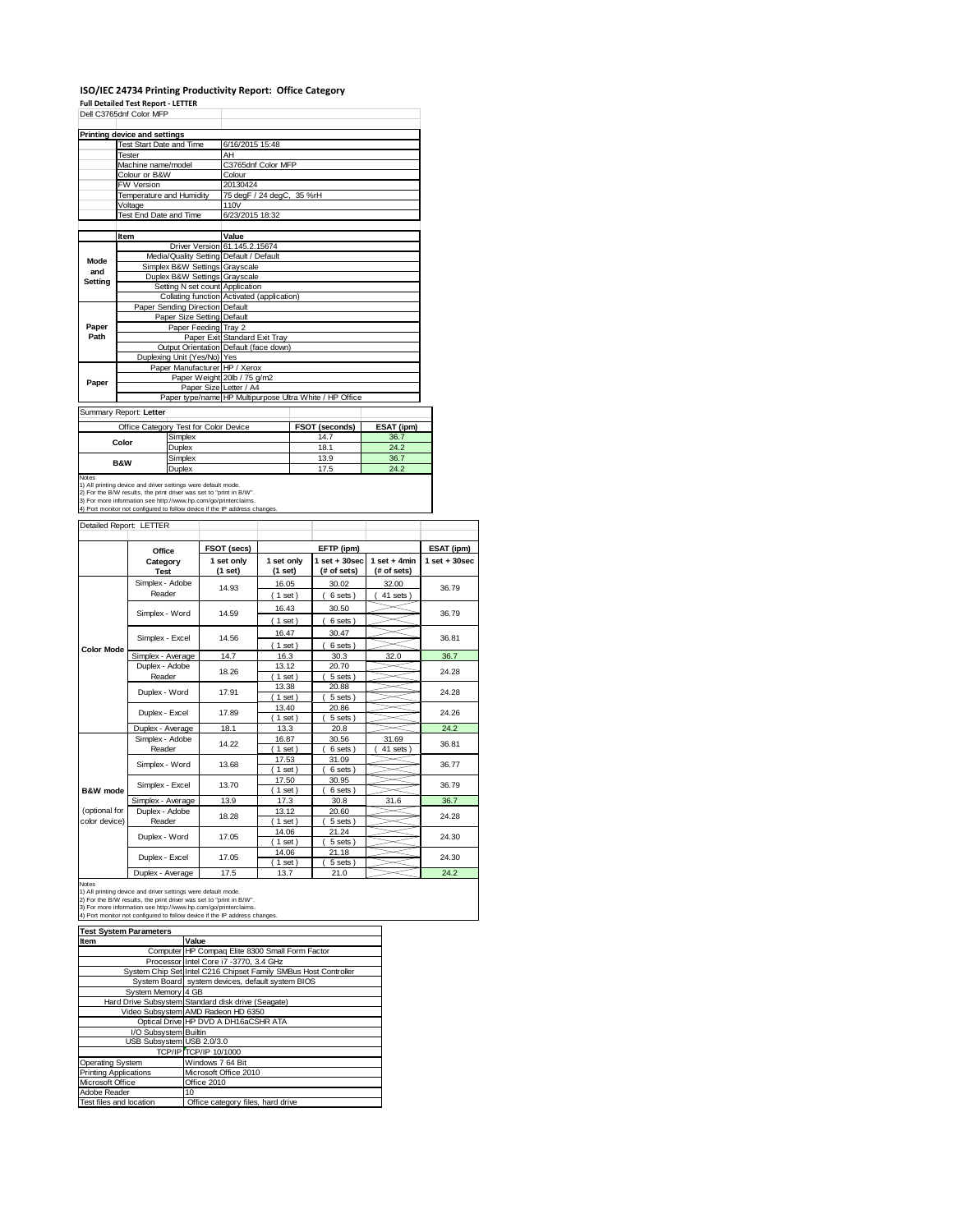### **ISO/IEC 24734 Printing Productivity Report: Office Category Full Detailed Test Report ‐ LETTER**

|                                                       | Dell C3765dnf Color MFP                                                                                                                                                                                                                         |                           |                                            |                   |  |                                                         |                 |                  |
|-------------------------------------------------------|-------------------------------------------------------------------------------------------------------------------------------------------------------------------------------------------------------------------------------------------------|---------------------------|--------------------------------------------|-------------------|--|---------------------------------------------------------|-----------------|------------------|
|                                                       | <b>Printing device and settings</b>                                                                                                                                                                                                             |                           |                                            |                   |  |                                                         |                 |                  |
|                                                       | Test Start Date and Time                                                                                                                                                                                                                        |                           | 6/16/2015 15:48                            |                   |  |                                                         |                 |                  |
|                                                       | <b>Tester</b><br>Machine name/model                                                                                                                                                                                                             | AH<br>C3765dnf Color MFP  |                                            |                   |  |                                                         |                 |                  |
|                                                       | Colour or B&W                                                                                                                                                                                                                                   |                           | Colour                                     |                   |  |                                                         |                 |                  |
|                                                       | FW Version                                                                                                                                                                                                                                      |                           | 20130424                                   |                   |  |                                                         |                 |                  |
|                                                       | Temperature and Humidity                                                                                                                                                                                                                        | 75 degF / 24 degC, 35 %rH |                                            |                   |  |                                                         |                 |                  |
|                                                       | Voltage                                                                                                                                                                                                                                         | 110V                      |                                            |                   |  |                                                         |                 |                  |
|                                                       | Test End Date and Time                                                                                                                                                                                                                          |                           | 6/23/2015 18:32                            |                   |  |                                                         |                 |                  |
|                                                       | Item                                                                                                                                                                                                                                            |                           | Value                                      |                   |  |                                                         |                 |                  |
|                                                       |                                                                                                                                                                                                                                                 |                           | Driver Version 61.145.2.15674              |                   |  |                                                         |                 |                  |
| Mode                                                  | Media/Quality Setting Default / Default                                                                                                                                                                                                         |                           |                                            |                   |  |                                                         |                 |                  |
| and                                                   | Simplex B&W Settings Grayscale<br>Duplex B&W Settings Grayscale                                                                                                                                                                                 |                           |                                            |                   |  |                                                         |                 |                  |
| <b>Setting</b>                                        | Setting N set count                                                                                                                                                                                                                             |                           | Application                                |                   |  |                                                         |                 |                  |
|                                                       |                                                                                                                                                                                                                                                 |                           | Collating function Activated (application) |                   |  |                                                         |                 |                  |
|                                                       | Paper Sending Direction Default                                                                                                                                                                                                                 |                           |                                            |                   |  |                                                         |                 |                  |
|                                                       | Paper Size Setting Default                                                                                                                                                                                                                      |                           |                                            |                   |  |                                                         |                 |                  |
| Paper<br>Path                                         | Paper Feeding Tray 2                                                                                                                                                                                                                            |                           | Paper Exit Standard Exit Tray              |                   |  |                                                         |                 |                  |
|                                                       | Output Orientation Default (face down)                                                                                                                                                                                                          |                           |                                            |                   |  |                                                         |                 |                  |
|                                                       | Duplexing Unit (Yes/No) Yes                                                                                                                                                                                                                     |                           |                                            |                   |  |                                                         |                 |                  |
|                                                       | Paper Manufacturer HP / Xerox                                                                                                                                                                                                                   |                           |                                            |                   |  |                                                         |                 |                  |
| Paper                                                 |                                                                                                                                                                                                                                                 |                           | Paper Weight 20lb / 75 g/m2                |                   |  |                                                         |                 |                  |
|                                                       |                                                                                                                                                                                                                                                 |                           | Paper Size Letter / A4                     |                   |  | Paper type/name HP Multipurpose Ultra White / HP Office |                 |                  |
|                                                       |                                                                                                                                                                                                                                                 |                           |                                            |                   |  |                                                         |                 |                  |
|                                                       | Summary Report: Letter                                                                                                                                                                                                                          |                           |                                            |                   |  |                                                         |                 |                  |
|                                                       | Office Category Test for Color Device                                                                                                                                                                                                           |                           |                                            |                   |  | FSOT (seconds)                                          | ESAT (ipm)      |                  |
|                                                       | Simplex<br>Color<br>Duplex                                                                                                                                                                                                                      |                           |                                            |                   |  | 14.7<br>18.1                                            | 36.7<br>24.2    |                  |
|                                                       | Simplex                                                                                                                                                                                                                                         |                           |                                            |                   |  | 13.9                                                    | 36.7            |                  |
| Notes                                                 | B&W<br>Duplex                                                                                                                                                                                                                                   |                           |                                            |                   |  | 17.5                                                    | 24.2            |                  |
|                                                       | 2) For the B/W results, the print driver was set to "print in B/W".<br>3) For more information see http://www.hp.com/go/printerclaims.<br>4) Port monitor not configured to follow device if the IP address changes.<br>Detailed Report: LETTER |                           |                                            |                   |  |                                                         |                 |                  |
|                                                       |                                                                                                                                                                                                                                                 |                           |                                            |                   |  |                                                         |                 |                  |
|                                                       | Office                                                                                                                                                                                                                                          |                           | FSOT (secs)                                |                   |  | EFTP (ipm)                                              |                 | ESAT (ipm)       |
|                                                       | Category                                                                                                                                                                                                                                        |                           | 1 set only                                 | 1 set only        |  | $1 set + 30 sec$                                        | $1 set + 4 min$ | $1 set + 30 sec$ |
|                                                       | <b>Test</b>                                                                                                                                                                                                                                     |                           | (1 set)                                    | (1 set)           |  | (# of sets)                                             | (# of sets)     |                  |
|                                                       | Simplex - Adobe<br>Reader                                                                                                                                                                                                                       |                           | 14.93                                      | 16.05             |  | 30.02                                                   | 32.00           | 36.79            |
|                                                       |                                                                                                                                                                                                                                                 |                           |                                            | (1 set)           |  | 6 sets)<br>$\left($                                     | 41 sets)        |                  |
|                                                       | Simplex - Word                                                                                                                                                                                                                                  |                           | 14.59                                      | 16.43             |  | 30.50                                                   |                 | 36.79            |
|                                                       |                                                                                                                                                                                                                                                 |                           |                                            | (1 set)           |  | 6 sets)                                                 |                 |                  |
|                                                       | Simplex - Excel                                                                                                                                                                                                                                 |                           | 14.56                                      | 16.47             |  | 30.47                                                   |                 | 36.81            |
| <b>Color Mode</b>                                     | Simplex - Average                                                                                                                                                                                                                               |                           | 14.7                                       | (1 set)<br>16.3   |  | 6 sets)<br>l<br>30.3                                    | 32.0            | 36.7             |
|                                                       | Duplex - Adobe                                                                                                                                                                                                                                  |                           |                                            | 13.12             |  | 20.70                                                   |                 |                  |
|                                                       | Reader                                                                                                                                                                                                                                          |                           | 18.26                                      | $(1$ set)         |  | 5 sets)                                                 |                 | 24.28            |
|                                                       | Duplex - Word                                                                                                                                                                                                                                   |                           | 17.91                                      | 13.38             |  | 20.88                                                   |                 | 24.28            |
|                                                       |                                                                                                                                                                                                                                                 |                           |                                            | $1$ set           |  | 5 sets)                                                 |                 |                  |
|                                                       | Duplex - Excel                                                                                                                                                                                                                                  |                           | 17.89                                      | 13.40             |  | 20.86                                                   |                 | 24.26            |
|                                                       |                                                                                                                                                                                                                                                 |                           | 18.1                                       | $1$ set)<br>13.3  |  | 5 sets)<br>20.8                                         |                 | 24.2             |
|                                                       |                                                                                                                                                                                                                                                 |                           |                                            |                   |  |                                                         |                 |                  |
|                                                       | Duplex - Average<br>Simplex - Adobe                                                                                                                                                                                                             |                           |                                            | 16.87             |  | 30.56                                                   | 31.69           |                  |
|                                                       | Reader                                                                                                                                                                                                                                          |                           | 14.22                                      | $1$ set           |  | 6 sets)                                                 | 41 sets)        | 36.81            |
|                                                       |                                                                                                                                                                                                                                                 |                           | 13.68                                      | 17.53             |  | 31.09                                                   |                 | 36.77            |
|                                                       | Simplex - Word                                                                                                                                                                                                                                  |                           |                                            | $1$ set)          |  | 6 sets)                                                 |                 |                  |
|                                                       | Simplex - Excel                                                                                                                                                                                                                                 |                           | 13.70                                      | 17.50             |  | 30.95                                                   |                 | 36.79            |
|                                                       |                                                                                                                                                                                                                                                 |                           | 13.9                                       | $1$ set)<br>17.3  |  | 6 sets)<br>30.8                                         | 31.6            | 36.7             |
|                                                       | Simplex - Average<br>Duplex - Adobe                                                                                                                                                                                                             |                           |                                            | 13.12             |  | 20.60                                                   |                 |                  |
|                                                       | Reader                                                                                                                                                                                                                                          |                           | 18.28                                      | $1$ set           |  | 5 sets)                                                 |                 | 24.28            |
|                                                       | Duplex - Word                                                                                                                                                                                                                                   |                           | 17.05                                      | 14.06             |  | 21.24                                                   |                 | 24.30            |
|                                                       |                                                                                                                                                                                                                                                 |                           |                                            | $1$ set)          |  | 5 sets)                                                 |                 |                  |
| <b>B&amp;W</b> mode<br>(optional for<br>color device) | Duplex - Excel                                                                                                                                                                                                                                  |                           | 17.05                                      | 14.06<br>$1$ set) |  | 21.18<br>5 sets                                         |                 | 24.30            |

Notes

1) All printing device and driver settings were default mode.<br>2) For the B/W results, the print driver was set to "print in B/W".<br>3) For more information see http://www.hp.com/go/printerclaims.<br>4) Port monitor not configur

| <b>Test System Parameters</b> |                                                                 |  |  |  |
|-------------------------------|-----------------------------------------------------------------|--|--|--|
| Item                          | Value                                                           |  |  |  |
|                               | Computer HP Compaq Elite 8300 Small Form Factor                 |  |  |  |
|                               | Processor Intel Core i7 -3770, 3.4 GHz                          |  |  |  |
|                               | System Chip Set Intel C216 Chipset Family SMBus Host Controller |  |  |  |
|                               | System Board system devices, default system BIOS                |  |  |  |
| System Memory 4 GB            |                                                                 |  |  |  |
|                               | Hard Drive Subsystem Standard disk drive (Seagate)              |  |  |  |
|                               | Video Subsystem AMD Radeon HD 6350                              |  |  |  |
|                               | Optical Drive HP DVD A DH16aCSHR ATA                            |  |  |  |
| I/O Subsystem Builtin         |                                                                 |  |  |  |
| USB Subsystem USB 2.0/3.0     |                                                                 |  |  |  |
|                               | TCP/IP TCP/IP 10/1000                                           |  |  |  |
| <b>Operating System</b>       | Windows 7 64 Bit                                                |  |  |  |
| <b>Printing Applications</b>  | Microsoft Office 2010                                           |  |  |  |
| Microsoft Office              | Office 2010                                                     |  |  |  |
| Adobe Reader                  | 10                                                              |  |  |  |
| Test files and location       | Office category files, hard drive                               |  |  |  |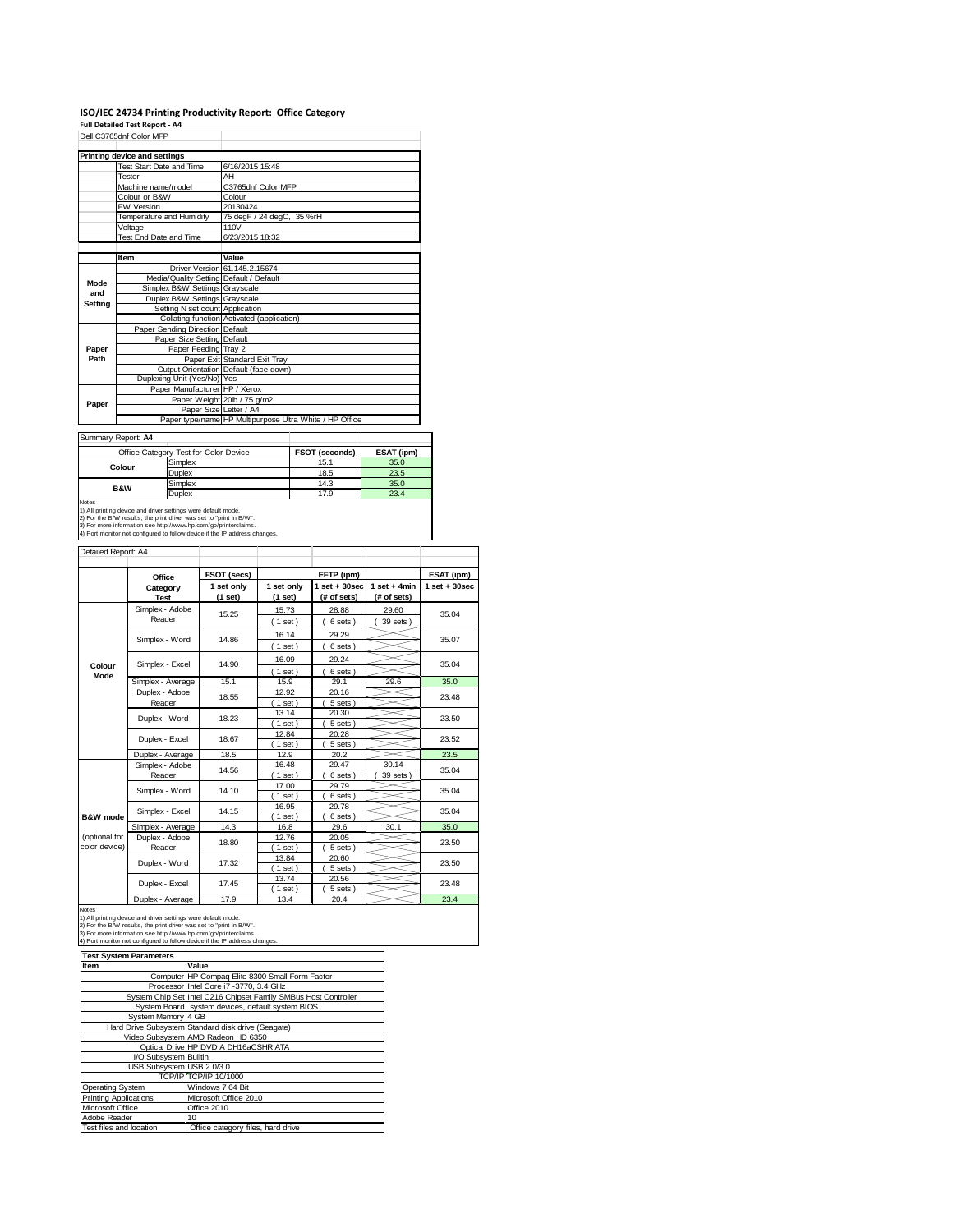# **ISO/IEC 24734 Printing Productivity Report: Office Category Full Detailed Test Report ‐ A4** Dell C3765dnf Color MFP

|         | <b>Printing device and settings</b>     |                                            |                                                         |  |  |  |
|---------|-----------------------------------------|--------------------------------------------|---------------------------------------------------------|--|--|--|
|         | Test Start Date and Time                | 6/16/2015 15:48                            |                                                         |  |  |  |
|         | Tester                                  | AH                                         |                                                         |  |  |  |
|         | Machine name/model                      | C3765dnf Color MFP                         |                                                         |  |  |  |
|         | Colour or B&W                           | Colour                                     |                                                         |  |  |  |
|         | FW Version                              | 20130424                                   |                                                         |  |  |  |
|         | Temperature and Humidity                | 75 degF / 24 degC, 35 %rH                  |                                                         |  |  |  |
|         | Voltage                                 | 110V                                       |                                                         |  |  |  |
|         | Test End Date and Time                  | 6/23/2015 18:32                            |                                                         |  |  |  |
|         |                                         |                                            |                                                         |  |  |  |
|         | Item                                    | Value                                      |                                                         |  |  |  |
|         |                                         | Driver Version 61.145.2.15674              |                                                         |  |  |  |
| Mode    | Media/Quality Setting Default / Default |                                            |                                                         |  |  |  |
| and     | Simplex B&W Settings Grayscale          |                                            |                                                         |  |  |  |
| Setting | Duplex B&W Settings Grayscale           |                                            |                                                         |  |  |  |
|         | Setting N set count Application         |                                            |                                                         |  |  |  |
|         |                                         | Collating function Activated (application) |                                                         |  |  |  |
|         | Paper Sending Direction Default         |                                            |                                                         |  |  |  |
|         | Paper Size Setting Default              |                                            |                                                         |  |  |  |
| Paper   | Paper Feeding Tray 2                    |                                            |                                                         |  |  |  |
| Path    |                                         | Paper Exit Standard Exit Tray              |                                                         |  |  |  |
|         |                                         | Output Orientation Default (face down)     |                                                         |  |  |  |
|         | Duplexing Unit (Yes/No) Yes             |                                            |                                                         |  |  |  |
|         | Paper Manufacturer HP / Xerox           |                                            |                                                         |  |  |  |
| Paper   |                                         | Paper Weight 20lb / 75 g/m2                |                                                         |  |  |  |
|         | Paper Size Letter / A4                  |                                            |                                                         |  |  |  |
|         |                                         |                                            | Paper type/name HP Multipurpose Ultra White / HP Office |  |  |  |
|         | Summary Report: A4                      |                                            |                                                         |  |  |  |
|         |                                         |                                            |                                                         |  |  |  |

| Office Category Test for Color Device                              |                                                               | FSOT (seconds) | ESAT (ipm) |  |  |
|--------------------------------------------------------------------|---------------------------------------------------------------|----------------|------------|--|--|
|                                                                    | Simplex                                                       | 15.1           | 35.0       |  |  |
| Colour                                                             | Duplex                                                        | 18.5           | 23.5       |  |  |
| <b>B&amp;W</b>                                                     | Simplex                                                       | 14.3           | 35.0       |  |  |
|                                                                    | Duplex                                                        | 17.9           | 23.4       |  |  |
| <b>Notes</b>                                                       |                                                               |                |            |  |  |
|                                                                    | 1) All printing device and driver settings were default mode. |                |            |  |  |
| 2) Ear the RAM recults, the print driver use eat to "print in RAM" |                                                               |                |            |  |  |

2) For the B/W results, the print driver was set to "print in B/W".<br>3) For more information see http://www.hp.com/go/printerclaims.<br>4) Port monitor not configured to follow device if the IP address changes.

Detailed Report: A4

| Detailed Report: A4            |                           |                       |                       |                                 |                               |                  |
|--------------------------------|---------------------------|-----------------------|-----------------------|---------------------------------|-------------------------------|------------------|
|                                | Office                    | FSOT (secs)           |                       | EFTP (ipm)                      |                               | ESAT (ipm)       |
|                                | Category<br><b>Test</b>   | 1 set only<br>(1 set) | 1 set only<br>(1 set) | $1 set + 30 sec$<br>(# of sets) | $1$ set + 4min<br>(# of sets) | $1 set + 30 sec$ |
|                                | Simplex - Adobe<br>Reader | 15.25                 | 15.73<br>$(1$ set)    | 28.88<br>6 sets)                | 29.60<br>39 sets              | 35.04            |
|                                | Simplex - Word            | 14.86                 | 16.14<br>$1$ set)     | 29.29<br>6 sets)                |                               | 35.07            |
| Colour                         | Simplex - Excel           | 14.90                 | 16.09<br>$1$ set)     | 29.24<br>6 sets)                |                               | 35.04            |
| Mode                           | Simplex - Average         | 15.1                  | 15.9                  | 29.1                            | 29.6                          | 35.0             |
|                                | Duplex - Adobe<br>Reader  | 18.55                 | 12.92<br>$1$ set)     | 20.16<br>5 sets)                |                               | 23.48            |
|                                | Duplex - Word             | 18.23                 | 13.14<br>$1$ set)     | 20.30<br>5 sets)                |                               | 23.50            |
|                                | Duplex - Excel            | 18.67                 | 12.84<br>$1$ set)     | 20.28<br>5 sets                 |                               | 23.52            |
|                                | Duplex - Average          | 18.5                  | 12.9                  | 20.2                            |                               | 23.5             |
|                                | Simplex - Adobe<br>Reader | 14.56                 | 16.48<br>$1$ set)     | 29.47<br>6 sets)                | 30.14<br>39 sets              | 35.04            |
|                                | Simplex - Word            | 14.10                 | 17.00<br>$1$ set      | 29.79<br>6 sets)                |                               | 35.04            |
| <b>B&amp;W</b> mode            | Simplex - Excel           | 14.15                 | 16.95<br>$1$ set)     | 29.78<br>6 sets)                |                               | 35.04            |
|                                | Simplex - Average         | 14.3                  | 16.8                  | 29.6                            | 30.1                          | 35.0             |
| (optional for<br>color device) | Duplex - Adobe<br>Reader  | 18.80                 | 12.76<br>$1$ set)     | 20.05<br>5 sets)                |                               | 23.50            |
|                                | Duplex - Word             | 17.32                 | 13.84<br>$1$ set)     | 20.60<br>5 sets)                |                               | 23.50            |
|                                | Duplex - Excel            | 17.45                 | 13.74<br>$1$ set)     | 20.56<br>5 sets)                |                               | 23.48            |
|                                | Dupley Average            | 170                   | 12A                   | 20A                             |                               | 22A              |

Notes<br>
Notes<br>
1) All princing device and driver settings were default mode.<br>
2) For the B/W results, the print driver was set to "print in B/W".<br>
3) For more information see http://www.hp.com/go/printerclaims.<br>
4) Por moni

| <b>Test System Parameters</b> |                                                                 |  |  |  |
|-------------------------------|-----------------------------------------------------------------|--|--|--|
| Item                          | Value                                                           |  |  |  |
|                               | Computer HP Compag Elite 8300 Small Form Factor                 |  |  |  |
|                               | Processor Intel Core i7 -3770, 3.4 GHz                          |  |  |  |
|                               | System Chip Set Intel C216 Chipset Family SMBus Host Controller |  |  |  |
|                               | System Board system devices, default system BIOS                |  |  |  |
| System Memory 4 GB            |                                                                 |  |  |  |
|                               | Hard Drive Subsystem Standard disk drive (Seagate)              |  |  |  |
|                               | Video Subsystem AMD Radeon HD 6350                              |  |  |  |
|                               | Optical Drive HP DVD A DH16aCSHR ATA                            |  |  |  |
| I/O Subsystem Builtin         |                                                                 |  |  |  |
| USB Subsystem USB 2.0/3.0     |                                                                 |  |  |  |
|                               | TCP/IP TCP/IP 10/1000                                           |  |  |  |
| <b>Operating System</b>       | Windows 7 64 Bit                                                |  |  |  |
| <b>Printing Applications</b>  | Microsoft Office 2010                                           |  |  |  |
| Microsoft Office              | Office 2010                                                     |  |  |  |
| Adobe Reader                  | 10                                                              |  |  |  |
| Test files and location       | Office category files, hard drive                               |  |  |  |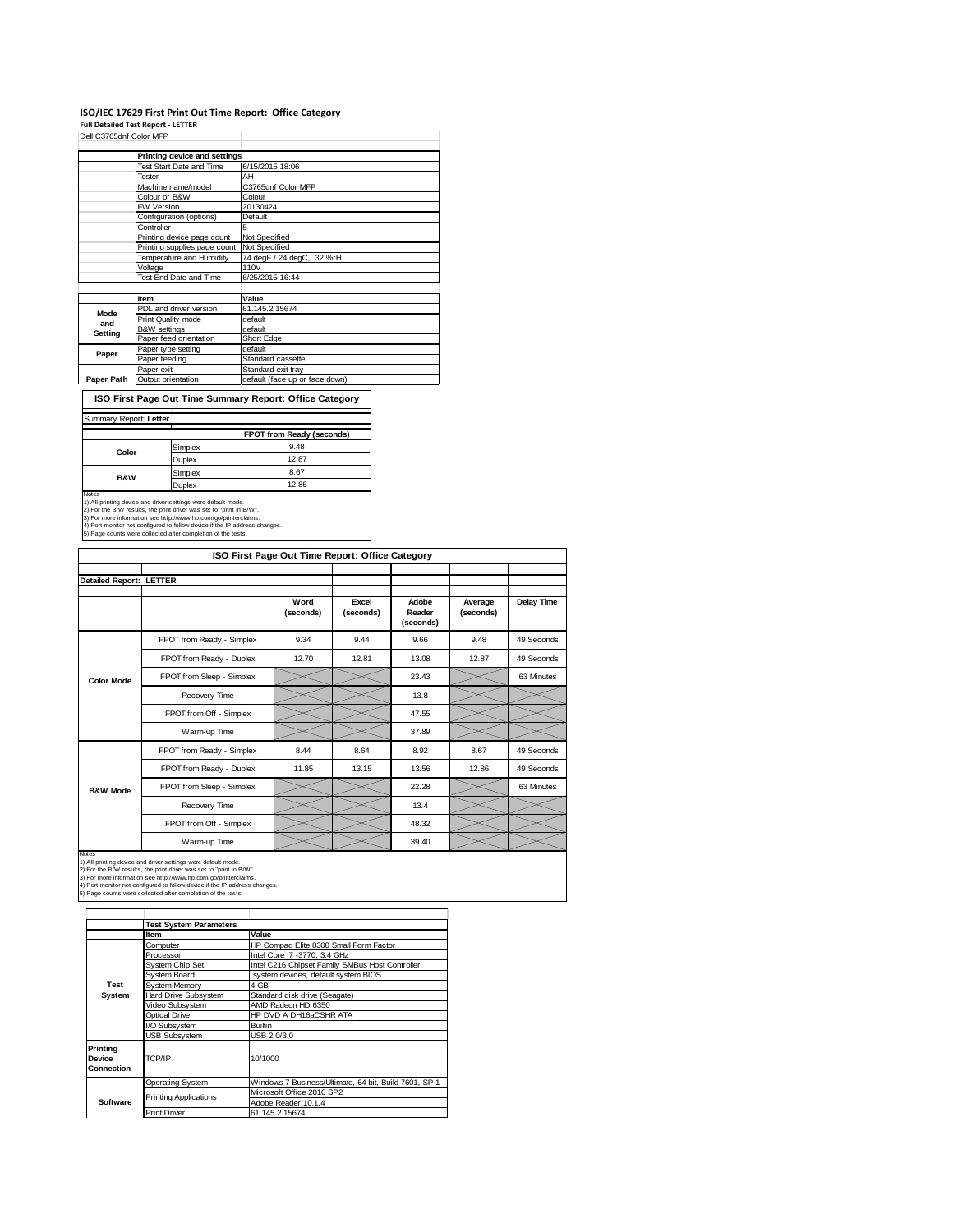### **ISO/IEC 17629 First Print Out Time Report: Office Category Full Detailed Test Report ‐ LETTER** Dell C3765dnf Color MFP

|            | Printing device and settings |                                |
|------------|------------------------------|--------------------------------|
|            | Test Start Date and Time     | 6/15/2015 18:06                |
|            | <b>Tester</b>                | AH                             |
|            | Machine name/model           | C3765dnf Color MFP             |
|            | Colour or B&W                | Colour                         |
|            | FW Version                   | 20130424                       |
|            | Configuration (options)      | Default                        |
|            | Controller                   | 5                              |
|            | Printing device page count   | Not Specified                  |
|            | Printing supplies page count | Not Specified                  |
|            | Temperature and Humidity     | 74 degF / 24 degC, 32 %rH      |
|            | Voltage                      | 110V                           |
|            | Test End Date and Time       | 6/25/2015 16:44                |
|            |                              |                                |
|            | Item                         | Value                          |
| Mode       | PDL and driver version       | 61.145.2.15674                 |
| and        | Print Quality mode           | default                        |
|            | <b>B&amp;W</b> settings      | default                        |
| Setting    | Paper feed orientation       | Short Edge                     |
|            | Paper type setting           | default                        |
| Paper      | Paper feeding                | Standard cassette              |
|            | Paper exit                   | Standard exit tray             |
| Paper Path | Output orientation           | default (face up or face down) |

**ISO First Page Out Time Summary Report: Office Category**

| Summary Report: Letter                                                                                                               |               |                           |
|--------------------------------------------------------------------------------------------------------------------------------------|---------------|---------------------------|
|                                                                                                                                      |               | FPOT from Ready (seconds) |
| Simplex                                                                                                                              |               | 9.48                      |
| Color                                                                                                                                | Duplex        | 12.87                     |
|                                                                                                                                      | Simplex       | 8.67                      |
| <b>B&amp;W</b>                                                                                                                       | <b>Duplex</b> | 12.86                     |
| <b>Notes</b>                                                                                                                         |               |                           |
| 1) All printing device and driver settings were default mode.<br>2) For the B/W results, the print driver was set to "print in B/W". |               |                           |
| 3) For more information see http://www.hp.com/go/printerclaims.                                                                      |               |                           |
| 4) Port monitor not configured to follow device if the IP address changes.                                                           |               |                           |
| 5) Page counts were collected after completion of the tests.                                                                         |               |                           |

|                                | ISO First Page Out Time Report: Office Category |                   |                    |                              |                      |                   |  |
|--------------------------------|-------------------------------------------------|-------------------|--------------------|------------------------------|----------------------|-------------------|--|
|                                |                                                 |                   |                    |                              |                      |                   |  |
| <b>Detailed Report: LETTER</b> |                                                 |                   |                    |                              |                      |                   |  |
|                                |                                                 | Word<br>(seconds) | Excel<br>(seconds) | Adobe<br>Reader<br>(seconds) | Average<br>(seconds) | <b>Delay Time</b> |  |
|                                | FPOT from Ready - Simplex                       | 9.34              | 9.44               | 9.66                         | 9.48                 | 49 Seconds        |  |
|                                | FPOT from Ready - Duplex                        | 12.70             | 12.81              | 13.08                        | 12.87                | 49 Seconds        |  |
| <b>Color Mode</b>              | FPOT from Sleep - Simplex                       |                   |                    | 23.43                        |                      | 63 Minutes        |  |
|                                | Recovery Time                                   |                   |                    | 13.8                         |                      |                   |  |
|                                | FPOT from Off - Simplex                         |                   |                    | 47.55                        |                      |                   |  |
|                                | Warm-up Time                                    |                   |                    | 37.89                        |                      |                   |  |
|                                | FPOT from Ready - Simplex                       | 8.44              | 8.64               | 8.92                         | 8.67                 | 49 Seconds        |  |
|                                | FPOT from Ready - Duplex                        | 11.85             | 13.15              | 13.56                        | 12.86                | 49 Seconds        |  |
| <b>B&amp;W Mode</b>            | FPOT from Sleep - Simplex                       |                   |                    | 22.28                        |                      | 63 Minutes        |  |
|                                | Recovery Time                                   |                   |                    | 13.4                         |                      |                   |  |
|                                | FPOT from Off - Simplex                         |                   |                    | 48.32                        |                      |                   |  |
| $1.1 - 1.1$                    | Warm-up Time                                    |                   |                    | 39.40                        |                      |                   |  |

Notes<br>1) All printing device and driver settings were default mode.<br>2) For the B/W results, the print driver was set to "print in B/W".<br>3) For more information see http://www.hp.com/go/printerclaims.<br>4) Port monitor not co

|                                                | <b>Test System Parameters</b> |                                                       |  |  |
|------------------------------------------------|-------------------------------|-------------------------------------------------------|--|--|
|                                                | Item                          | Value                                                 |  |  |
|                                                | Computer                      | HP Compaq Elite 8300 Small Form Factor                |  |  |
|                                                | Processor                     | Intel Core i7 -3770, 3.4 GHz                          |  |  |
|                                                | System Chip Set               | Intel C216 Chipset Family SMBus Host Controller       |  |  |
|                                                | System Board                  | system devices, default system BIOS                   |  |  |
| <b>Test</b>                                    | <b>System Memory</b>          | 4 GB                                                  |  |  |
| System                                         | Hard Drive Subsystem          | Standard disk drive (Seagate)                         |  |  |
|                                                | Video Subsystem               | AMD Radeon HD 6350                                    |  |  |
|                                                | Optical Drive                 | HP DVD A DH16aCSHR ATA                                |  |  |
|                                                | I/O Subsystem                 | Builtin                                               |  |  |
|                                                | <b>USB Subsystem</b>          | USB 2.0/3.0                                           |  |  |
| Printing<br><b>Device</b><br><b>Connection</b> | TCP/IP                        | 10/1000                                               |  |  |
|                                                | Operating System              | Windows 7 Business/Ultimate, 64 bit, Build 7601, SP 1 |  |  |
|                                                | <b>Printing Applications</b>  | Microsoft Office 2010 SP2                             |  |  |
| Software                                       |                               | Adobe Reader 10.1.4                                   |  |  |
|                                                | <b>Print Driver</b>           | 61.145.2.15674                                        |  |  |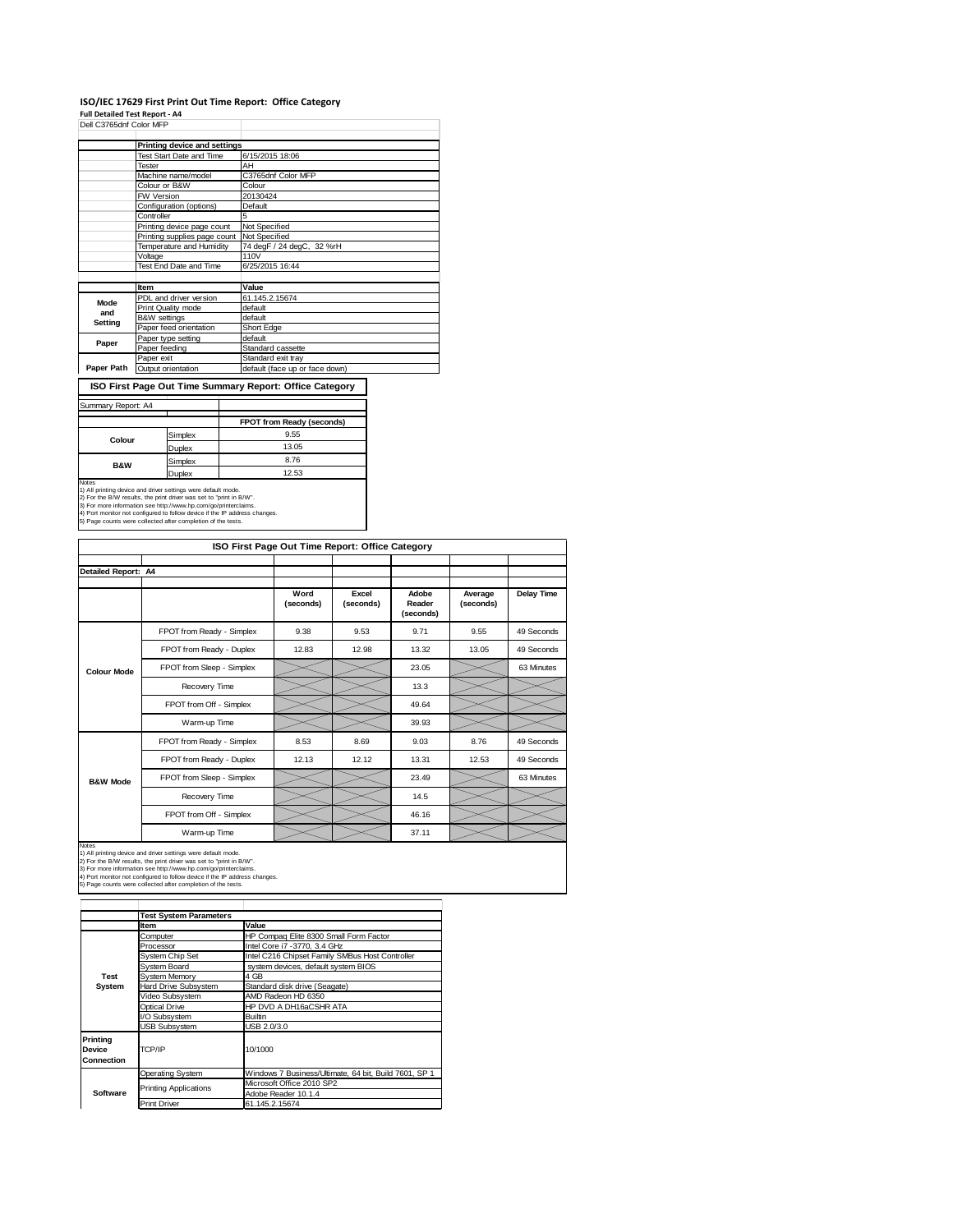### **ISO/IEC 17629 First Print Out Time Report: Office Category**

**Full Detailed Test Report ‐ A4**

| Dell C3765dnf Color MFP |                              |                                |
|-------------------------|------------------------------|--------------------------------|
|                         | Printing device and settings |                                |
|                         | Test Start Date and Time     | 6/15/2015 18:06                |
|                         | Tester                       | AH                             |
|                         | Machine name/model           | C3765dnf Color MFP             |
|                         | Colour or B&W                | Colour                         |
|                         | FW Version                   | 20130424                       |
|                         | Configuration (options)      | Default                        |
|                         | Controller                   | 5                              |
|                         | Printing device page count   | Not Specified                  |
|                         | Printing supplies page count | Not Specified                  |
|                         | Temperature and Humidity     | 74 degF / 24 degC, 32 %rH      |
|                         | Voltage                      | 110V                           |
|                         | Test End Date and Time       | 6/25/2015 16:44                |
|                         |                              |                                |
|                         | <b>Item</b>                  | Value                          |
| Mode                    | PDL and driver version       | 61.145.2.15674                 |
| and                     | Print Quality mode           | default                        |
| Setting                 | <b>B&amp;W</b> settings      | default                        |
|                         | Paper feed orientation       | Short Edge                     |
| Paper                   | Paper type setting           | default                        |
|                         | Paper feeding                | Standard cassette              |
|                         | Paper exit                   | Standard exit tray             |
| Paper Path              | Output orientation           | default (face up or face down) |

**ISO First Page Out Time Summary Report: Office Category**

#### Summary Report: A4 Τ

|                                                                                                                                                                                                                                                                                                                                                                       |               | FPOT from Ready (seconds) |
|-----------------------------------------------------------------------------------------------------------------------------------------------------------------------------------------------------------------------------------------------------------------------------------------------------------------------------------------------------------------------|---------------|---------------------------|
| Colour                                                                                                                                                                                                                                                                                                                                                                | Simplex       | 9.55                      |
|                                                                                                                                                                                                                                                                                                                                                                       | <b>Duplex</b> | 13.05                     |
| <b>B&amp;W</b>                                                                                                                                                                                                                                                                                                                                                        | Simplex       | 8.76                      |
|                                                                                                                                                                                                                                                                                                                                                                       | <b>Duplex</b> | 12.53                     |
| <b>Notes</b><br>1) All printing device and driver settings were default mode.<br>2) For the B/W results, the print driver was set to "print in B/W".<br>3) For more information see http://www.hp.com/go/printerclaims.<br>4) Port monitor not configured to follow device if the IP address changes.<br>5) Page counts were collected after completion of the tests. |               |                           |

| ISO First Page Out Time Report: Office Category |                           |                   |                    |                              |                      |                   |  |  |  |
|-------------------------------------------------|---------------------------|-------------------|--------------------|------------------------------|----------------------|-------------------|--|--|--|
| Detailed Report: A4                             |                           |                   |                    |                              |                      |                   |  |  |  |
|                                                 |                           | Word<br>(seconds) | Excel<br>(seconds) | Adobe<br>Reader<br>(seconds) | Average<br>(seconds) | <b>Delay Time</b> |  |  |  |
|                                                 | FPOT from Ready - Simplex | 9.38              | 9.53               | 9.71                         | 9.55                 | 49 Seconds        |  |  |  |
|                                                 | FPOT from Ready - Duplex  | 12.83             | 12.98              | 13.32                        | 13.05                | 49 Seconds        |  |  |  |
| <b>Colour Mode</b>                              | FPOT from Sleep - Simplex |                   |                    | 23.05                        |                      | 63 Minutes        |  |  |  |
|                                                 | Recovery Time             |                   |                    | 13.3                         |                      |                   |  |  |  |
|                                                 | FPOT from Off - Simplex   |                   |                    | 49.64                        |                      |                   |  |  |  |
|                                                 | Warm-up Time              |                   |                    | 39.93                        |                      |                   |  |  |  |
|                                                 | FPOT from Ready - Simplex | 8.53              | 8.69               | 9.03                         | 8.76                 | 49 Seconds        |  |  |  |
|                                                 | FPOT from Ready - Duplex  | 12.13             | 12.12              | 13.31                        | 12.53                | 49 Seconds        |  |  |  |
| <b>B&amp;W Mode</b>                             | FPOT from Sleep - Simplex |                   |                    | 23.49                        |                      | 63 Minutes        |  |  |  |
|                                                 | Recovery Time             |                   |                    | 14.5                         |                      |                   |  |  |  |
|                                                 | FPOT from Off - Simplex   |                   |                    | 46.16                        |                      |                   |  |  |  |
| <b>Notes</b>                                    | Warm-up Time              |                   |                    | 37.11                        |                      |                   |  |  |  |

Notes<br>1) All printing device and driver settings were default mode.<br>2) For the B/W results, the print driver was set to "print in B/W".<br>3) For more information see http://www.bp.com/go/printerclaims.<br>4) Port monitor not co

|                                  | <b>Test System Parameters</b> |                                                       |  |  |
|----------------------------------|-------------------------------|-------------------------------------------------------|--|--|
|                                  | <b>Item</b>                   | Value                                                 |  |  |
|                                  | Computer                      | HP Compaq Elite 8300 Small Form Factor                |  |  |
|                                  | Processor                     | Intel Core i7 - 3770, 3.4 GHz                         |  |  |
|                                  | System Chip Set               | Intel C216 Chipset Family SMBus Host Controller       |  |  |
|                                  | Svstem Board                  | system devices, default system BIOS                   |  |  |
| Test                             | System Memory                 | 4 GB                                                  |  |  |
| System                           | Hard Drive Subsystem          | Standard disk drive (Seagate)                         |  |  |
|                                  | Video Subsystem               | AMD Radeon HD 6350                                    |  |  |
|                                  | Optical Drive                 | HP DVD A DH16aCSHR ATA                                |  |  |
|                                  | I/O Subsystem                 | <b>Builtin</b>                                        |  |  |
|                                  | <b>USB Subsystem</b>          | USB 2.0/3.0                                           |  |  |
| Printing<br>Device<br>Connection | TCP/IP                        | 10/1000                                               |  |  |
|                                  | <b>Operating System</b>       | Windows 7 Business/Ultimate, 64 bit, Build 7601, SP 1 |  |  |
|                                  | <b>Printing Applications</b>  | Microsoft Office 2010 SP2                             |  |  |
| Software                         |                               | Adobe Reader 10.1.4                                   |  |  |
|                                  | <b>Print Driver</b>           | 61.145.2.15674                                        |  |  |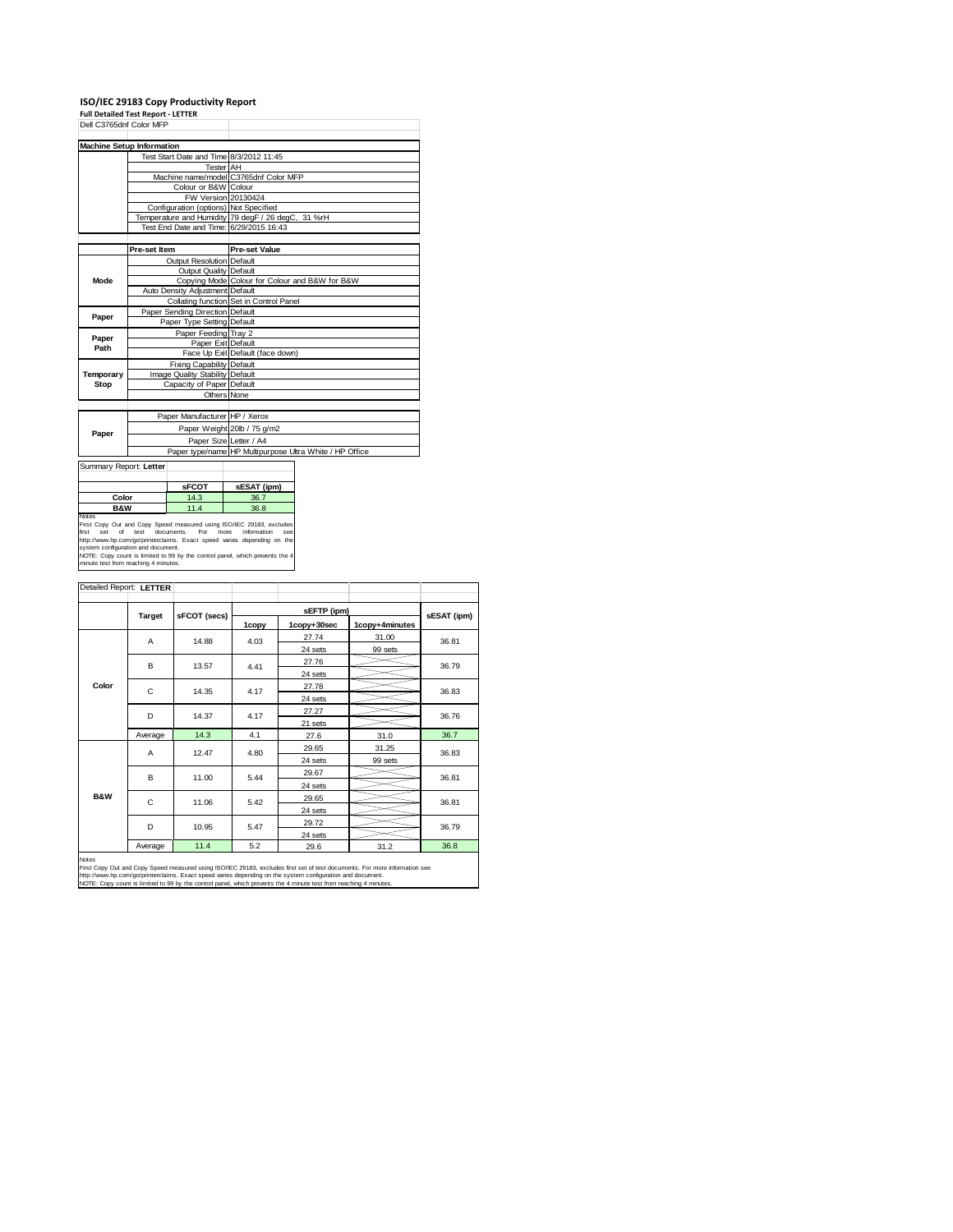| <b>Full Detailed Test Report - LETTER</b> |                                 | ISO/IEC 29183 Copy Productivity Report |                                                    |                                                         |  |  |
|-------------------------------------------|---------------------------------|----------------------------------------|----------------------------------------------------|---------------------------------------------------------|--|--|
| Dell C3765dnf Color MFP                   |                                 |                                        |                                                    |                                                         |  |  |
|                                           |                                 |                                        |                                                    |                                                         |  |  |
| <b>Machine Setup Information</b>          |                                 |                                        |                                                    |                                                         |  |  |
|                                           |                                 |                                        | Test Start Date and Time 8/3/2012 11:45            |                                                         |  |  |
|                                           |                                 | Tester AH                              |                                                    |                                                         |  |  |
|                                           |                                 |                                        | Machine name/model C3765dnf Color MFP              |                                                         |  |  |
|                                           |                                 | Colour or B&W Colour                   |                                                    |                                                         |  |  |
|                                           |                                 |                                        | FW Version 20130424                                |                                                         |  |  |
|                                           |                                 | Configuration (options) Not Specified  |                                                    |                                                         |  |  |
|                                           |                                 |                                        | Temperature and Humidity 79 degF / 26 degC, 31 %rH |                                                         |  |  |
|                                           |                                 |                                        | Test End Date and Time: 6/29/2015 16:43            |                                                         |  |  |
|                                           |                                 |                                        |                                                    |                                                         |  |  |
|                                           | Pre-set Item                    |                                        | <b>Pre-set Value</b>                               |                                                         |  |  |
|                                           |                                 | Output Resolution Default              |                                                    |                                                         |  |  |
|                                           |                                 | Output Quality Default                 |                                                    |                                                         |  |  |
| Mode                                      |                                 |                                        | Copying Mode Colour for Colour and B&W for B&W     |                                                         |  |  |
|                                           |                                 | Auto Density Adjustment Default        |                                                    |                                                         |  |  |
|                                           |                                 |                                        | Collating function Set in Control Panel            |                                                         |  |  |
| Paper                                     |                                 | Paper Sending Direction Default        |                                                    |                                                         |  |  |
|                                           |                                 | Paper Type Setting Default             |                                                    |                                                         |  |  |
| Paper                                     | Paper Feeding Tray 2            |                                        |                                                    |                                                         |  |  |
| Path                                      | Paper Exit Default              |                                        |                                                    |                                                         |  |  |
|                                           |                                 |                                        | Face Up Exit Default (face down)                   |                                                         |  |  |
|                                           |                                 | Fixing Capability Default              |                                                    |                                                         |  |  |
| Temporary                                 | Image Quality Stability Default |                                        |                                                    |                                                         |  |  |
| Stop                                      |                                 | Capacity of Paper Default              |                                                    |                                                         |  |  |
|                                           |                                 |                                        | Others None                                        |                                                         |  |  |
|                                           |                                 |                                        |                                                    |                                                         |  |  |
|                                           |                                 | Paper Manufacturer HP / Xerox          |                                                    |                                                         |  |  |
| Paper                                     |                                 |                                        | Paper Weight 20lb / 75 g/m2                        |                                                         |  |  |
|                                           |                                 |                                        | Paper Size Letter / A4                             |                                                         |  |  |
|                                           |                                 |                                        |                                                    | Paper type/name HP Multipurpose Ultra White / HP Office |  |  |
| Summary Report: Letter                    |                                 |                                        |                                                    |                                                         |  |  |
|                                           |                                 |                                        |                                                    |                                                         |  |  |
|                                           |                                 | <b>SFCOT</b>                           | sESAT (ipm)                                        |                                                         |  |  |
| Color                                     |                                 | 14.3                                   | 36.7                                               |                                                         |  |  |
| <b>B&amp;W</b>                            |                                 | 11.4                                   | 36.8                                               |                                                         |  |  |
| Notes                                     | Out and Over Oaks               |                                        |                                                    |                                                         |  |  |

Notes<br>First Copy Out and Copy Speed measured using ISO/IEC 29183, excludes<br>first set of test documents. For more information see<br>http://www.hp.com/go/pintencialms. Exact speed varies depending on the<br>system configuration a

| Detailed Report: LETTER |               |              |       |             |                |             |  |
|-------------------------|---------------|--------------|-------|-------------|----------------|-------------|--|
|                         |               |              |       |             |                |             |  |
|                         | <b>Target</b> | sFCOT (secs) |       | sEFTP (ipm) |                | sESAT (ipm) |  |
|                         |               |              | 1copy | 1copy+30sec | 1copy+4minutes |             |  |
|                         | A             | 14.88        | 4.03  | 27.74       | 31.00          | 36.81       |  |
|                         |               |              |       | 24 sets     | 99 sets        |             |  |
|                         | B             | 13.57        | 4.41  | 27.76       |                | 36.79       |  |
|                         |               |              |       | 24 sets     |                |             |  |
| Color                   | C             | 14.35        | 4.17  | 27.78       |                | 36.83       |  |
|                         |               |              |       | 24 sets     |                |             |  |
|                         | D             | 14.37        | 4.17  | 27.27       |                | 36.76       |  |
|                         |               |              |       | 21 sets     |                |             |  |
|                         | Average       | 14.3         | 4.1   | 27.6        | 31.0           | 36.7        |  |
|                         | A             | 12.47        | 4.80  | 29.65       | 31.25          | 36.83       |  |
|                         |               |              |       | 24 sets     | 99 sets        |             |  |
|                         | B             | 11.00        | 5.44  | 29.67       |                | 36.81       |  |
| <b>B&amp;W</b>          |               |              |       | 24 sets     |                |             |  |
|                         | C             | 11.06        | 5.42  | 29.65       |                | 36.81       |  |
|                         |               |              |       | 24 sets     |                |             |  |
|                         | D             | 10.95        | 5.47  | 29.72       |                | 36.79       |  |
|                         |               |              |       | 24 sets     |                |             |  |
|                         | Average       | 11.4         | 5.2   | 29.6        | 31.2           | 36.8        |  |

Notes<br>First Copy Out and Copy Speed measured using ISO/IEC 29183, excludes first set of test documents. For more information see<br>http://www.fp.com/go/printerclaims. Exact speed varies depending on the system confguration a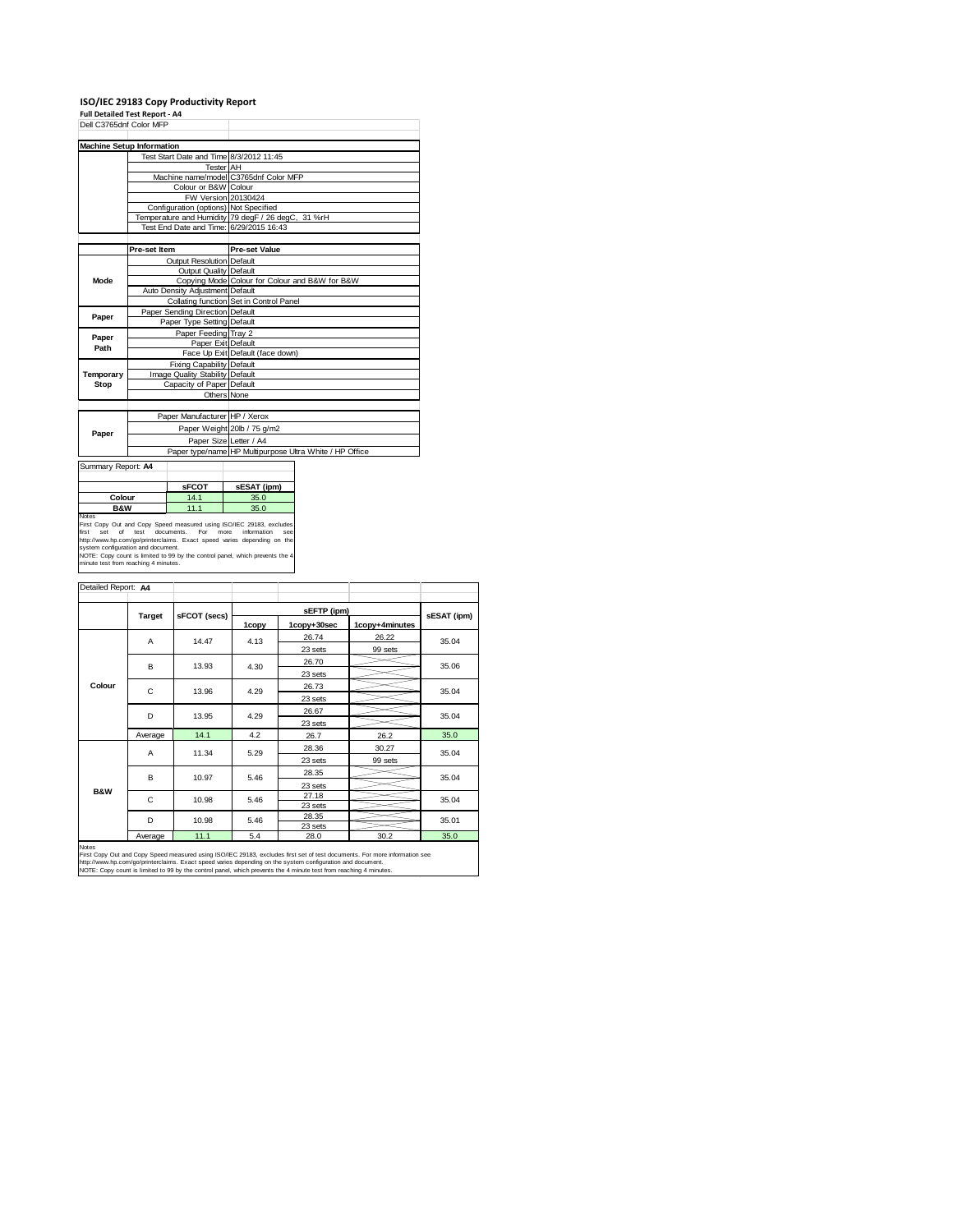## **ISO/IEC 29183 Copy Productivity Report Full Detailed Test Report ‐ A4**

| Dell C3765dnf Color MFP                                           |                           |                                       |                                                                                                                                                                                                                                                               |                                                         |  |  |  |
|-------------------------------------------------------------------|---------------------------|---------------------------------------|---------------------------------------------------------------------------------------------------------------------------------------------------------------------------------------------------------------------------------------------------------------|---------------------------------------------------------|--|--|--|
| <b>Machine Setup Information</b>                                  |                           |                                       |                                                                                                                                                                                                                                                               |                                                         |  |  |  |
|                                                                   |                           |                                       | Test Start Date and Time 8/3/2012 11:45                                                                                                                                                                                                                       |                                                         |  |  |  |
|                                                                   |                           | <b>Tester</b> AH                      |                                                                                                                                                                                                                                                               |                                                         |  |  |  |
|                                                                   |                           | Machine name/model C3765dnf Color MFP |                                                                                                                                                                                                                                                               |                                                         |  |  |  |
|                                                                   |                           | Colour or B&W Colour                  |                                                                                                                                                                                                                                                               |                                                         |  |  |  |
|                                                                   |                           |                                       | FW Version 20130424                                                                                                                                                                                                                                           |                                                         |  |  |  |
|                                                                   |                           | Configuration (options) Not Specified |                                                                                                                                                                                                                                                               |                                                         |  |  |  |
|                                                                   |                           |                                       | Temperature and Humidity 79 degF / 26 degC, 31 %rH                                                                                                                                                                                                            |                                                         |  |  |  |
|                                                                   |                           |                                       | Test End Date and Time: 6/29/2015 16:43                                                                                                                                                                                                                       |                                                         |  |  |  |
|                                                                   |                           |                                       |                                                                                                                                                                                                                                                               |                                                         |  |  |  |
|                                                                   | Pre-set Item              |                                       | <b>Pre-set Value</b>                                                                                                                                                                                                                                          |                                                         |  |  |  |
|                                                                   |                           | Output Resolution Default             |                                                                                                                                                                                                                                                               |                                                         |  |  |  |
|                                                                   |                           | <b>Output Quality Default</b>         |                                                                                                                                                                                                                                                               |                                                         |  |  |  |
| Mode                                                              |                           |                                       | Copying Mode Colour for Colour and B&W for B&W                                                                                                                                                                                                                |                                                         |  |  |  |
|                                                                   |                           | Auto Density Adjustment Default       |                                                                                                                                                                                                                                                               |                                                         |  |  |  |
|                                                                   |                           |                                       |                                                                                                                                                                                                                                                               | Collating function Set in Control Panel                 |  |  |  |
| Paper                                                             |                           | Paper Sending Direction Default       |                                                                                                                                                                                                                                                               |                                                         |  |  |  |
|                                                                   |                           | Paper Type Setting Default            |                                                                                                                                                                                                                                                               |                                                         |  |  |  |
| Paper                                                             |                           | Paper Feeding Tray 2                  |                                                                                                                                                                                                                                                               |                                                         |  |  |  |
| Path                                                              |                           | Paper Exit Default                    |                                                                                                                                                                                                                                                               |                                                         |  |  |  |
|                                                                   |                           |                                       | Face Up Exit Default (face down)                                                                                                                                                                                                                              |                                                         |  |  |  |
|                                                                   |                           | Fixing Capability Default             |                                                                                                                                                                                                                                                               |                                                         |  |  |  |
| Temporary                                                         |                           | Image Quality Stability Default       |                                                                                                                                                                                                                                                               |                                                         |  |  |  |
| Stop                                                              | Capacity of Paper Default |                                       |                                                                                                                                                                                                                                                               |                                                         |  |  |  |
|                                                                   |                           |                                       | Others None                                                                                                                                                                                                                                                   |                                                         |  |  |  |
|                                                                   |                           |                                       |                                                                                                                                                                                                                                                               |                                                         |  |  |  |
|                                                                   |                           | Paper Manufacturer HP / Xerox         |                                                                                                                                                                                                                                                               |                                                         |  |  |  |
| Paper                                                             |                           |                                       | Paper Weight 20lb / 75 g/m2                                                                                                                                                                                                                                   |                                                         |  |  |  |
|                                                                   |                           |                                       | Paper Size Letter / A4                                                                                                                                                                                                                                        |                                                         |  |  |  |
|                                                                   |                           |                                       |                                                                                                                                                                                                                                                               | Paper type/name HP Multipurpose Ultra White / HP Office |  |  |  |
| Summary Report: A4                                                |                           |                                       |                                                                                                                                                                                                                                                               |                                                         |  |  |  |
|                                                                   |                           |                                       |                                                                                                                                                                                                                                                               |                                                         |  |  |  |
| <b>sFCOT</b>                                                      |                           | sESAT (ipm)                           |                                                                                                                                                                                                                                                               |                                                         |  |  |  |
| Colour<br>14.1                                                    |                           | 35.0                                  |                                                                                                                                                                                                                                                               |                                                         |  |  |  |
| <b>B&amp;W</b><br>11.1                                            |                           |                                       | 35.0                                                                                                                                                                                                                                                          |                                                         |  |  |  |
| Notes<br>of<br>first<br>set<br>system configuration and document. | test                      | documents.<br>For                     | First Copy Out and Copy Speed measured using ISO/IEC 29183, excludes<br>more<br>information<br>SAA<br>http://www.hp.com/go/printerclaims. Exact speed varies depending on the<br>NOTE: Copy count is limited to 99 by the control panel, which prevents the 4 |                                                         |  |  |  |
| minute test from reaching 4 minutes.                              |                           |                                       |                                                                                                                                                                                                                                                               |                                                         |  |  |  |

| Detailed Report: A4 |         |              |       |                  |                |             |  |
|---------------------|---------|--------------|-------|------------------|----------------|-------------|--|
|                     |         |              |       |                  |                |             |  |
|                     | Target  | sFCOT (secs) |       | sEFTP (ipm)      |                | sESAT (ipm) |  |
|                     |         |              | 1copy | 1copy+30sec      | 1copy+4minutes |             |  |
|                     | A       | 14.47        | 4.13  | 26.74            | 26.22          | 35.04       |  |
|                     |         |              |       | 23 sets          | 99 sets        |             |  |
|                     | в       | 13.93        | 4.30  | 26.70            |                | 35.06       |  |
|                     |         |              |       | 23 sets          |                |             |  |
| Colour              | C       | 13.96        | 4.29  | 26.73            |                | 35.04       |  |
|                     |         |              |       | 23 sets          |                |             |  |
|                     | D       | 13.95        | 4.29  | 26.67            |                | 35.04       |  |
|                     |         |              |       | 23 sets          |                |             |  |
|                     | Average | 14.1         | 4.2   | 26.7             | 26.2           | 35.0        |  |
|                     | A       | 11.34        | 5.29  | 28.36            | 30.27          | 35.04       |  |
|                     |         |              |       | 23 sets          | 99 sets        |             |  |
|                     | B       | 10.97        | 5.46  | 28.35            |                | 35.04       |  |
| <b>B&amp;W</b>      |         |              |       | 23 sets          |                |             |  |
|                     | C       | 10.98        | 5.46  | 27.18            |                | 35.04       |  |
|                     |         |              | 5.46  | 23 sets          |                |             |  |
|                     | D       | 10.98        |       | 28.35<br>23 sets |                | 35.01       |  |
|                     | Average | 11.1         | 5.4   | 28.0             | 30.2           | 35.0        |  |

Notes<br>First Copy Out and Copy Speed measured using ISO/IEC 29183, excludes first set of test documents. For more information see<br>http://www.fp.com/go/printerclaims. Exact speed varies depending on the system confguration a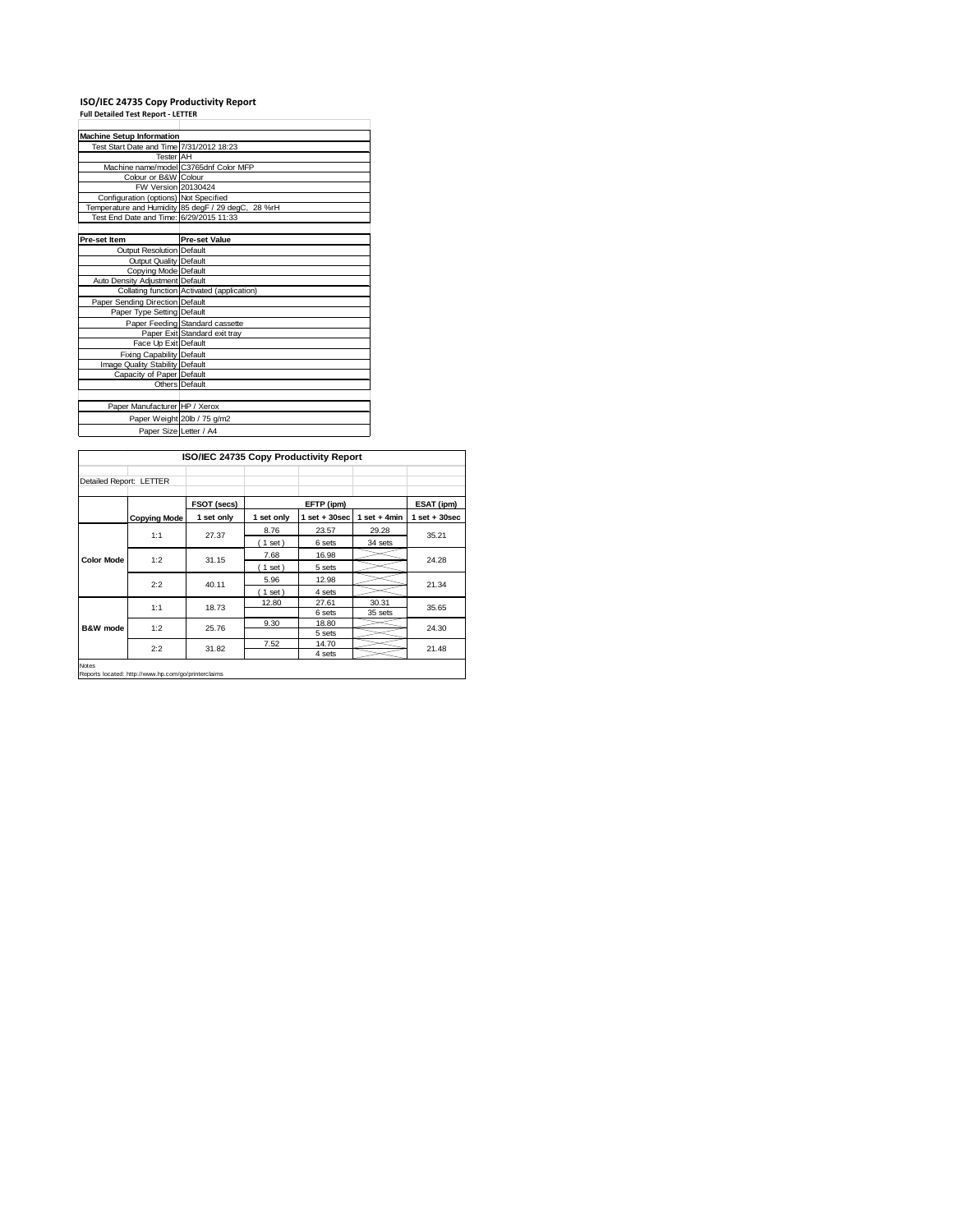## **ISO/IEC 24735 Copy Productivity Report Full Detailed Test Report ‐ LETTER**

| <b>Machine Setup Information</b>         |                                                    |
|------------------------------------------|----------------------------------------------------|
| Test Start Date and Time 7/31/2012 18:23 |                                                    |
| <b>Tester AH</b>                         |                                                    |
|                                          | Machine name/model C3765dnf Color MFP              |
| Colour or B&W Colour                     |                                                    |
| FW Version 20130424                      |                                                    |
| Configuration (options) Not Specified    |                                                    |
|                                          | Temperature and Humidity 85 degF / 29 degC, 28 %rH |
| Test End Date and Time: 6/29/2015 11:33  |                                                    |
|                                          |                                                    |
| Pre-set Item                             | <b>Pre-set Value</b>                               |
| <b>Output Resolution Default</b>         |                                                    |
| Output Quality Default                   |                                                    |
| Copying Mode Default                     |                                                    |
| Auto Density Adjustment Default          |                                                    |
|                                          | Collating function Activated (application)         |
| Paper Sending Direction Default          |                                                    |
| Paper Type Setting Default               |                                                    |
|                                          | Paper Feeding Standard cassette                    |
|                                          | Paper Exit Standard exit tray                      |
| Face Up Exit Default                     |                                                    |
| <b>Fixing Capability Default</b>         |                                                    |
| Image Quality Stability Default          |                                                    |
| Capacity of Paper Default                |                                                    |
|                                          | Others Default                                     |
|                                          |                                                    |
| Paper Manufacturer HP / Xerox            |                                                    |
|                                          | Paper Weight 20lb / 75 g/m2                        |
| Paper Size Letter / A4                   |                                                    |

|                         |                     | ISO/IEC 24735 Copy Productivity Report |            |                   |                 |                   |
|-------------------------|---------------------|----------------------------------------|------------|-------------------|-----------------|-------------------|
| Detailed Report: LETTER |                     |                                        |            |                   |                 |                   |
|                         |                     | FSOT (secs)                            |            | EFTP (ipm)        |                 | ESAT (ipm)        |
|                         | <b>Copying Mode</b> | 1 set only                             | 1 set only | $1$ set $+30$ sec | $1 set + 4 min$ | $1$ set $+30$ sec |
|                         | 1:1                 |                                        | 8.76       | 23.57             | 29.28           |                   |
|                         |                     | 27.37                                  | $1$ set)   | 6 sets            | 34 sets         | 35.21             |
| <b>Color Mode</b>       | 1:2                 | 31.15                                  | 7.68       | 16.98             |                 | 24.28             |
|                         |                     |                                        | $1$ set)   | 5 sets            |                 |                   |
|                         | 2:2                 | 40.11                                  | 5.96       | 12.98             |                 | 21.34             |
|                         |                     |                                        | $1$ set)   | 4 sets            |                 |                   |
|                         | 1:1                 | 18.73                                  | 12.80      | 27.61             | 30.31           | 35.65             |
|                         |                     |                                        |            | 6 sets            | 35 sets         |                   |
| B&W mode                | 1:2                 | 25.76                                  | 9.30       | 18.80             |                 | 24.30             |
|                         |                     |                                        |            | 5 sets            |                 |                   |
|                         | 2:2                 | 31.82                                  | 7.52       | 14.70             |                 | 21.48             |
|                         |                     |                                        |            | 4 sets            |                 |                   |

Notes Reports located: http://www.hp.com/go/printerclaims